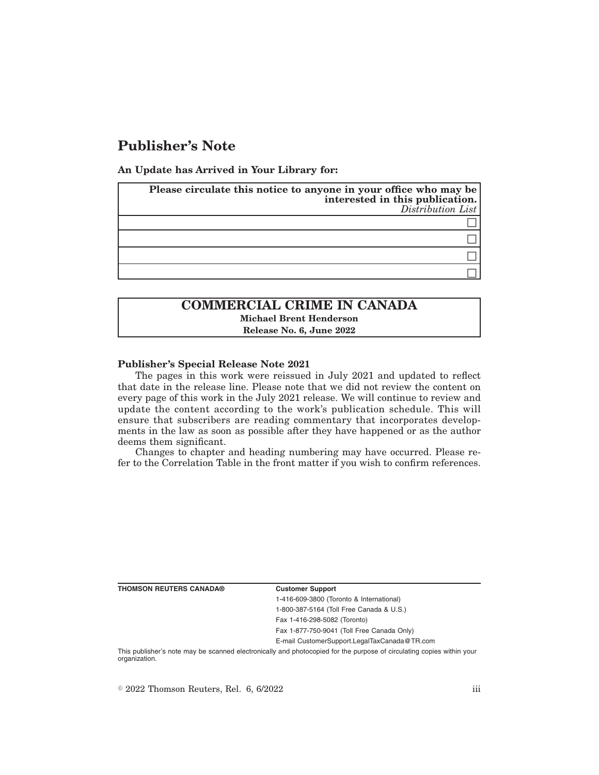# **Publisher's Note**

**An Update has Arrived in Your Library for:**

| Please circulate this notice to anyone in your office who may be<br>interested in this publication.<br>$Distribution$ List |
|----------------------------------------------------------------------------------------------------------------------------|
|                                                                                                                            |
|                                                                                                                            |
|                                                                                                                            |
|                                                                                                                            |

# **COMMERCIAL CRIME IN CANADA Michael Brent Henderson Release No. 6, June 2022**

### **Publisher's Special Release Note 2021**

The pages in this work were reissued in July 2021 and updated to reflect that date in the release line. Please note that we did not review the content on every page of this work in the July 2021 release. We will continue to review and update the content according to the work's publication schedule. This will ensure that subscribers are reading commentary that incorporates developments in the law as soon as possible after they have happened or as the author deems them significant.

Changes to chapter and heading numbering may have occurred. Please refer to the Correlation Table in the front matter if you wish to confirm references.

**THOMSON REUTERS CANADA® Customer Support**

1-416-609-3800 (Toronto & International) 1-800-387-5164 (Toll Free Canada & U.S.)

Fax 1-416-298-5082 (Toronto)

Fax 1-877-750-9041 (Toll Free Canada Only)

E-mail CustomerSupport.LegalTaxCanada@TR.com

This publisher's note may be scanned electronically and photocopied for the purpose of circulating copies within your organization.

 $\degree$  2022 Thomson Reuters, Rel. 6, 6/2022 iii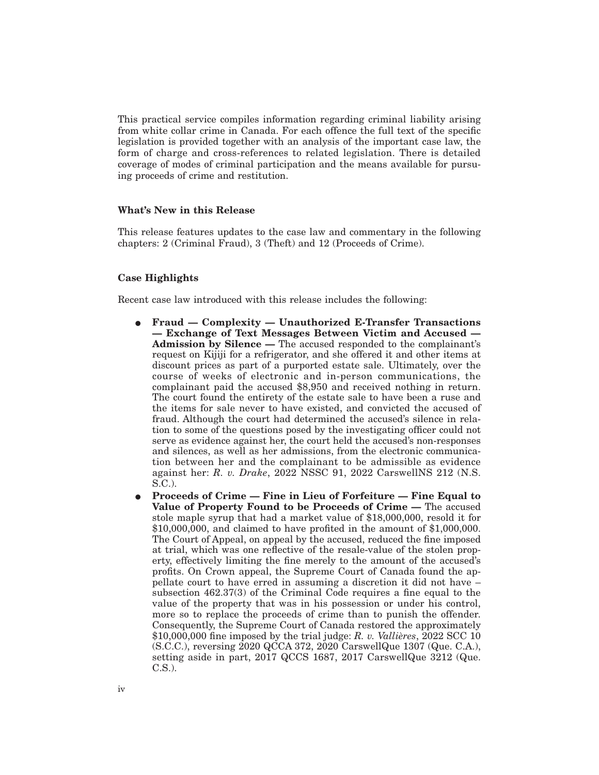This practical service compiles information regarding criminal liability arising from white collar crime in Canada. For each offence the full text of the specific legislation is provided together with an analysis of the important case law, the form of charge and cross-references to related legislation. There is detailed coverage of modes of criminal participation and the means available for pursuing proceeds of crime and restitution.

### **What's New in this Release**

This release features updates to the case law and commentary in the following chapters: 2 (Criminal Fraud), 3 (Theft) and 12 (Proceeds of Crime).

### **Case Highlights**

Recent case law introduced with this release includes the following:

- E **Fraud Complexity Unauthorized E-Transfer Transactions — Exchange of Text Messages Between Victim and Accused — Admission by Silence —** The accused responded to the complainant's request on Kijiji for a refrigerator, and she offered it and other items at discount prices as part of a purported estate sale. Ultimately, over the course of weeks of electronic and in-person communications, the complainant paid the accused \$8,950 and received nothing in return. The court found the entirety of the estate sale to have been a ruse and the items for sale never to have existed, and convicted the accused of fraud. Although the court had determined the accused's silence in relation to some of the questions posed by the investigating officer could not serve as evidence against her, the court held the accused's non-responses and silences, as well as her admissions, from the electronic communication between her and the complainant to be admissible as evidence against her: *R. v. Drake*, 2022 NSSC 91, 2022 CarswellNS 212 (N.S. S.C.).
- E **Proceeds of Crime Fine in Lieu of Forfeiture Fine Equal to Value of Property Found to be Proceeds of Crime —** The accused stole maple syrup that had a market value of \$18,000,000, resold it for \$10,000,000, and claimed to have profited in the amount of \$1,000,000. The Court of Appeal, on appeal by the accused, reduced the fine imposed at trial, which was one reflective of the resale-value of the stolen property, effectively limiting the fine merely to the amount of the accused's profits. On Crown appeal, the Supreme Court of Canada found the appellate court to have erred in assuming a discretion it did not have – subsection 462.37(3) of the Criminal Code requires a fine equal to the value of the property that was in his possession or under his control, more so to replace the proceeds of crime than to punish the offender. Consequently, the Supreme Court of Canada restored the approximately \$10,000,000 fine imposed by the trial judge: *R. v. Vallières*, 2022 SCC 10 (S.C.C.), reversing 2020 QCCA 372, 2020 CarswellQue 1307 (Que. C.A.), setting aside in part, 2017 QCCS 1687, 2017 CarswellQue 3212 (Que. C.S.).